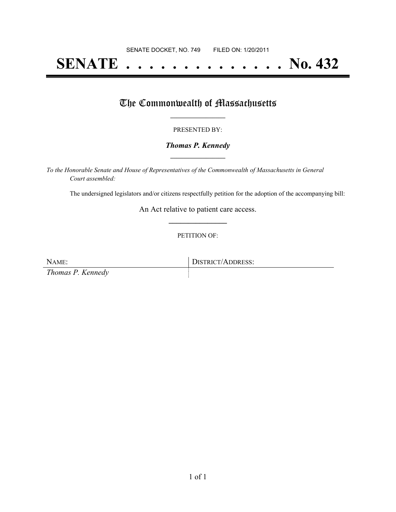## **SENATE . . . . . . . . . . . . . . No. 432**

## The Commonwealth of Massachusetts

#### PRESENTED BY:

#### *Thomas P. Kennedy* **\_\_\_\_\_\_\_\_\_\_\_\_\_\_\_\_\_**

*To the Honorable Senate and House of Representatives of the Commonwealth of Massachusetts in General Court assembled:*

The undersigned legislators and/or citizens respectfully petition for the adoption of the accompanying bill:

An Act relative to patient care access. **\_\_\_\_\_\_\_\_\_\_\_\_\_\_\_**

#### PETITION OF:

NAME: DISTRICT/ADDRESS: *Thomas P. Kennedy*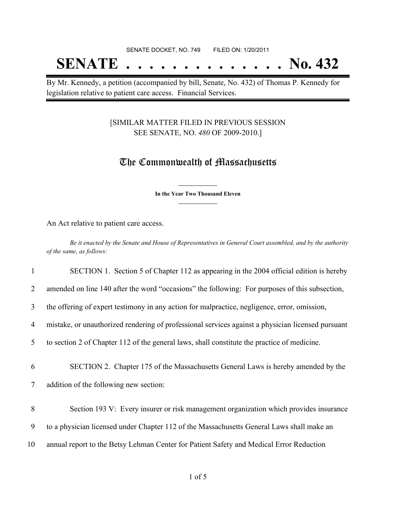# **SENATE . . . . . . . . . . . . . . No. 432**

By Mr. Kennedy, a petition (accompanied by bill, Senate, No. 432) of Thomas P. Kennedy for legislation relative to patient care access. Financial Services.

### [SIMILAR MATTER FILED IN PREVIOUS SESSION SEE SENATE, NO. *480* OF 2009-2010.]

### The Commonwealth of Massachusetts

**\_\_\_\_\_\_\_\_\_\_\_\_\_\_\_ In the Year Two Thousand Eleven \_\_\_\_\_\_\_\_\_\_\_\_\_\_\_**

An Act relative to patient care access.

Be it enacted by the Senate and House of Representatives in General Court assembled, and by the authority *of the same, as follows:*

| 1  | SECTION 1. Section 5 of Chapter 112 as appearing in the 2004 official edition is hereby           |
|----|---------------------------------------------------------------------------------------------------|
| 2  | amended on line 140 after the word "occasions" the following: For purposes of this subsection,    |
| 3  | the offering of expert testimony in any action for malpractice, negligence, error, omission,      |
| 4  | mistake, or unauthorized rendering of professional services against a physician licensed pursuant |
| 5  | to section 2 of Chapter 112 of the general laws, shall constitute the practice of medicine.       |
| 6  | SECTION 2. Chapter 175 of the Massachusetts General Laws is hereby amended by the                 |
| 7  | addition of the following new section:                                                            |
|    |                                                                                                   |
| 8  | Section 193 V: Every insurer or risk management organization which provides insurance             |
| 9  | to a physician licensed under Chapter 112 of the Massachusetts General Laws shall make an         |
| 10 | annual report to the Betsy Lehman Center for Patient Safety and Medical Error Reduction           |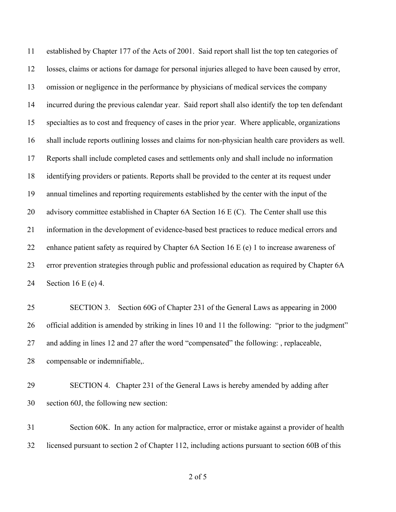established by Chapter 177 of the Acts of 2001. Said report shall list the top ten categories of losses, claims or actions for damage for personal injuries alleged to have been caused by error, omission or negligence in the performance by physicians of medical services the company incurred during the previous calendar year. Said report shall also identify the top ten defendant specialties as to cost and frequency of cases in the prior year. Where applicable, organizations shall include reports outlining losses and claims for non-physician health care providers as well. Reports shall include completed cases and settlements only and shall include no information identifying providers or patients. Reports shall be provided to the center at its request under annual timelines and reporting requirements established by the center with the input of the 20 advisory committee established in Chapter 6A Section 16 E (C). The Center shall use this information in the development of evidence-based best practices to reduce medical errors and 22 enhance patient safety as required by Chapter 6A Section 16 E (e) 1 to increase awareness of error prevention strategies through public and professional education as required by Chapter 6A Section 16 E (e) 4.

 SECTION 3. Section 60G of Chapter 231 of the General Laws as appearing in 2000 official addition is amended by striking in lines 10 and 11 the following: "prior to the judgment" and adding in lines 12 and 27 after the word "compensated" the following: , replaceable, compensable or indemnifiable,.

 SECTION 4. Chapter 231 of the General Laws is hereby amended by adding after section 60J, the following new section:

 Section 60K. In any action for malpractice, error or mistake against a provider of health licensed pursuant to section 2 of Chapter 112, including actions pursuant to section 60B of this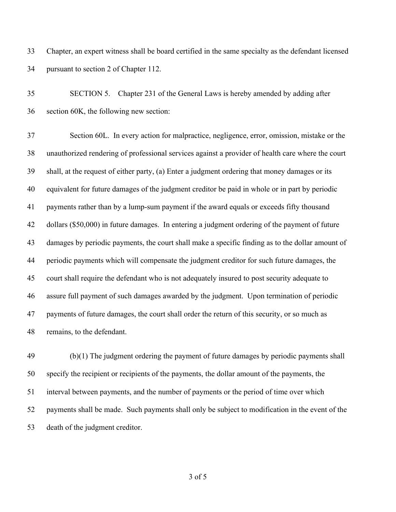Chapter, an expert witness shall be board certified in the same specialty as the defendant licensed pursuant to section 2 of Chapter 112.

 SECTION 5. Chapter 231 of the General Laws is hereby amended by adding after section 60K, the following new section:

 Section 60L. In every action for malpractice, negligence, error, omission, mistake or the unauthorized rendering of professional services against a provider of health care where the court shall, at the request of either party, (a) Enter a judgment ordering that money damages or its equivalent for future damages of the judgment creditor be paid in whole or in part by periodic payments rather than by a lump-sum payment if the award equals or exceeds fifty thousand dollars (\$50,000) in future damages. In entering a judgment ordering of the payment of future damages by periodic payments, the court shall make a specific finding as to the dollar amount of periodic payments which will compensate the judgment creditor for such future damages, the court shall require the defendant who is not adequately insured to post security adequate to assure full payment of such damages awarded by the judgment. Upon termination of periodic payments of future damages, the court shall order the return of this security, or so much as remains, to the defendant.

 (b)(1) The judgment ordering the payment of future damages by periodic payments shall specify the recipient or recipients of the payments, the dollar amount of the payments, the interval between payments, and the number of payments or the period of time over which payments shall be made. Such payments shall only be subject to modification in the event of the death of the judgment creditor.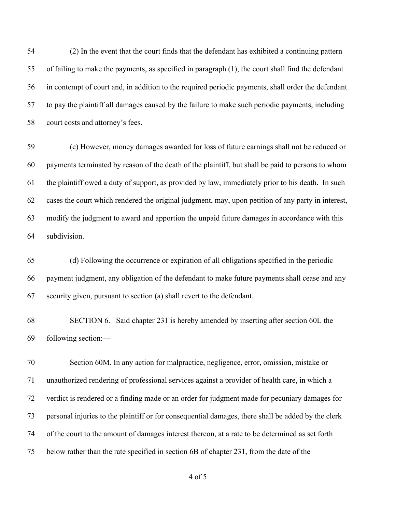(2) In the event that the court finds that the defendant has exhibited a continuing pattern of failing to make the payments, as specified in paragraph (1), the court shall find the defendant in contempt of court and, in addition to the required periodic payments, shall order the defendant to pay the plaintiff all damages caused by the failure to make such periodic payments, including court costs and attorney's fees.

 (c) However, money damages awarded for loss of future earnings shall not be reduced or payments terminated by reason of the death of the plaintiff, but shall be paid to persons to whom the plaintiff owed a duty of support, as provided by law, immediately prior to his death. In such cases the court which rendered the original judgment, may, upon petition of any party in interest, modify the judgment to award and apportion the unpaid future damages in accordance with this subdivision.

 (d) Following the occurrence or expiration of all obligations specified in the periodic payment judgment, any obligation of the defendant to make future payments shall cease and any security given, pursuant to section (a) shall revert to the defendant.

 SECTION 6. Said chapter 231 is hereby amended by inserting after section 60L the following section:—

 Section 60M. In any action for malpractice, negligence, error, omission, mistake or unauthorized rendering of professional services against a provider of health care, in which a verdict is rendered or a finding made or an order for judgment made for pecuniary damages for personal injuries to the plaintiff or for consequential damages, there shall be added by the clerk of the court to the amount of damages interest thereon, at a rate to be determined as set forth below rather than the rate specified in section 6B of chapter 231, from the date of the